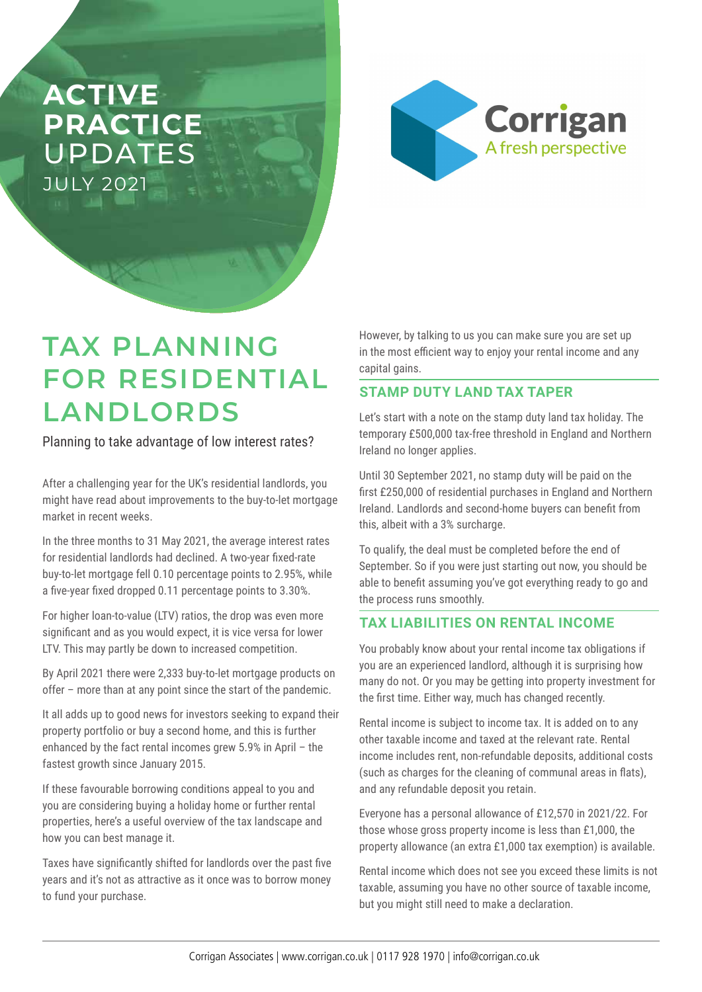# **ACTIVE PRACTICE**  UPDATES JULY 2021



# **TAX PLANNING FOR RESIDENTIAL LANDLORDS**

Planning to take advantage of low interest rates?

After a challenging year for the UK's residential landlords, you might have read about improvements to the buy-to-let mortgage market in recent weeks.

In the three months to 31 May 2021, the average interest rates for residential landlords had declined. A two-year fixed-rate buy-to-let mortgage fell 0.10 percentage points to 2.95%, while a five-year fixed dropped 0.11 percentage points to 3.30%.

For higher loan-to-value (LTV) ratios, the drop was even more significant and as you would expect, it is vice versa for lower LTV. This may partly be down to increased competition.

By April 2021 there were 2,333 buy-to-let mortgage products on offer – more than at any point since the start of the pandemic.

It all adds up to good news for investors seeking to expand their property portfolio or buy a second home, and this is further enhanced by the fact rental incomes grew 5.9% in April – the fastest growth since January 2015.

If these favourable borrowing conditions appeal to you and you are considering buying a holiday home or further rental properties, here's a useful overview of the tax landscape and how you can best manage it.

Taxes have significantly shifted for landlords over the past five years and it's not as attractive as it once was to borrow money to fund your purchase.

However, by talking to us you can make sure you are set up in the most efficient way to enjoy your rental income and any capital gains.

## **STAMP DUTY LAND TAX TAPER**

Let's start with a note on the stamp duty land tax holiday. The temporary £500,000 tax-free threshold in England and Northern Ireland no longer applies.

Until 30 September 2021, no stamp duty will be paid on the first £250,000 of residential purchases in England and Northern Ireland. Landlords and second-home buyers can benefit from this, albeit with a 3% surcharge.

To qualify, the deal must be completed before the end of September. So if you were just starting out now, you should be able to benefit assuming you've got everything ready to go and the process runs smoothly.

### **TAX LIABILITIES ON RENTAL INCOME**

You probably know about your rental income tax obligations if you are an experienced landlord, although it is surprising how many do not. Or you may be getting into property investment for the first time. Either way, much has changed recently.

Rental income is subject to income tax. It is added on to any other taxable income and taxed at the relevant rate. Rental income includes rent, non-refundable deposits, additional costs (such as charges for the cleaning of communal areas in flats), and any refundable deposit you retain.

Everyone has a personal allowance of £12,570 in 2021/22. For those whose gross property income is less than £1,000, the property allowance (an extra £1,000 tax exemption) is available.

Rental income which does not see you exceed these limits is not taxable, assuming you have no other source of taxable income, but you might still need to make a declaration.